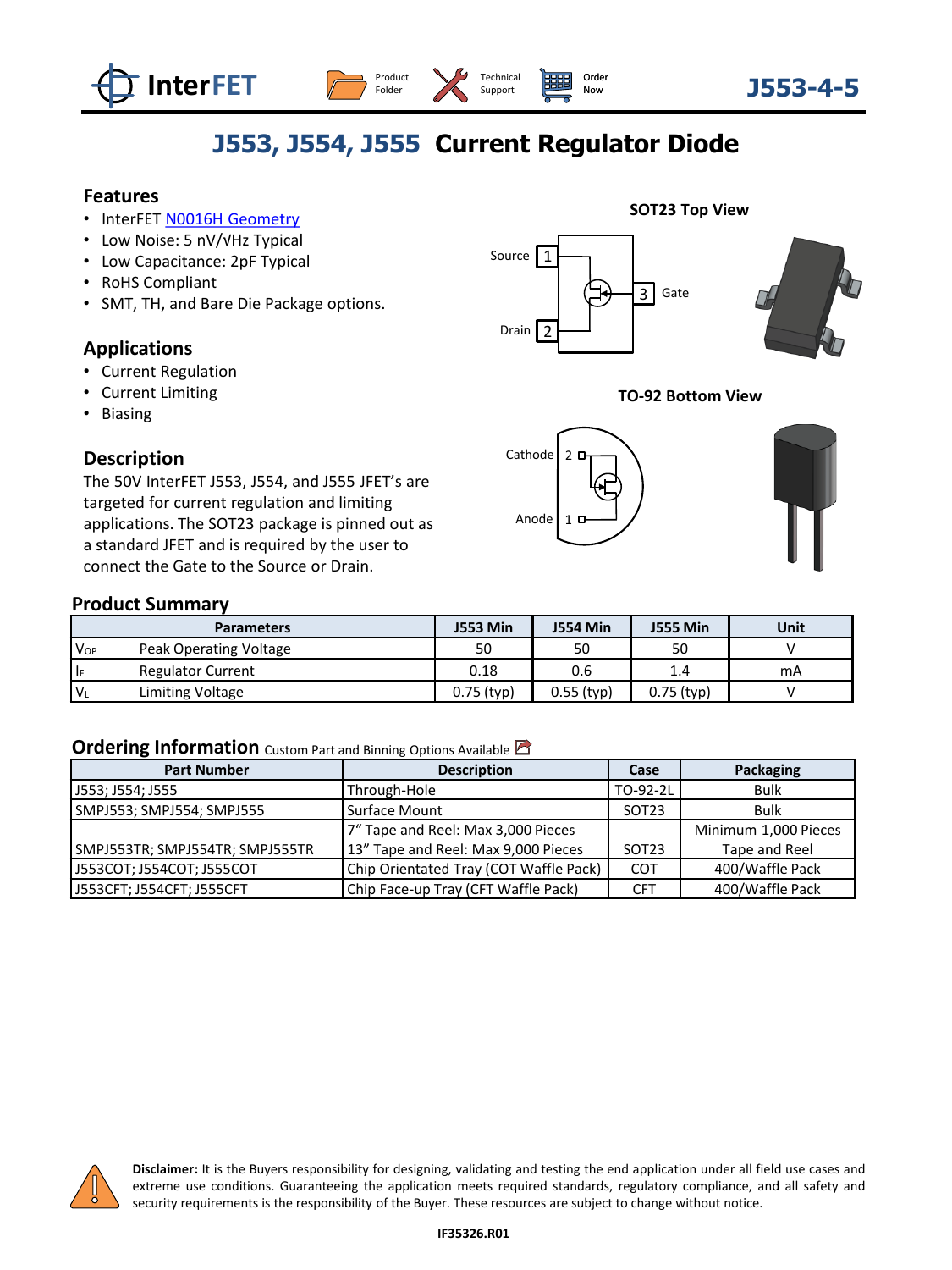





# **J553, J554, J555 Current Regulator Diode**

### **Features**

- InterFET [N0016H Geometry](https://www.interfet.com/geometry-types/)
- Low Noise: 5 nV/√Hz Typical
- Low Capacitance: 2pF Typical
- RoHS Compliant
- SMT, TH, and Bare Die Package options.

### **Applications**

- Current Regulation
- Current Limiting
- Biasing

#### **Description**

The 50V InterFET J553, J554, and J555 JFET's are targeted for current regulation and limiting applications. The SOT23 package is pinned out as a standard JFET and is required by the user to connect the Gate to the Source or Drain.

#### **SOT23 Top View**



#### **TO-92 Bottom View**



#### **Product Summary**

| <b>Parameters</b> |                          | <b>J553 Min</b> | <b>J554 Min</b> | <b>J555 Min</b> | Unit |  |
|-------------------|--------------------------|-----------------|-----------------|-----------------|------|--|
| V <sub>OP</sub>   | Peak Operating Voltage   | 50              | 50              | 50              |      |  |
| l F               | <b>Regulator Current</b> | 0.18            | 0.6             | 1.4             | mA   |  |
| $'V_{L}$          | Limiting Voltage         | $0.75$ (typ)    | $0.55$ (typ)    | $0.75$ (typ)    |      |  |

#### **Ordering Information** Custom Part and Binning Options Available

| <b>Part Number</b>                         | <b>Description</b>                     | Case              | Packaging            |  |  |
|--------------------------------------------|----------------------------------------|-------------------|----------------------|--|--|
| J553; J554; J555                           | Through-Hole                           | TO-92-2L          | Bulk                 |  |  |
| SMPJ553; SMPJ554; SMPJ555<br>Surface Mount |                                        | SOT <sub>23</sub> | Bulk                 |  |  |
|                                            | 7" Tape and Reel: Max 3,000 Pieces     |                   | Minimum 1,000 Pieces |  |  |
| SMPJ553TR; SMPJ554TR; SMPJ555TR            | 13" Tape and Reel: Max 9,000 Pieces    | SOT <sub>23</sub> | Tape and Reel        |  |  |
| J553COT; J554COT; J555COT                  | Chip Orientated Tray (COT Waffle Pack) | COT               | 400/Waffle Pack      |  |  |
| J553CFT; J554CFT; J555CFT                  | Chip Face-up Tray (CFT Waffle Pack)    | <b>CFT</b>        | 400/Waffle Pack      |  |  |



**Disclaimer:** It is the Buyers responsibility for designing, validating and testing the end application under all field use cases and extreme use conditions. Guaranteeing the application meets required standards, regulatory compliance, and all safety and security requirements is the responsibility of the Buyer. These resources are subject to change without notice.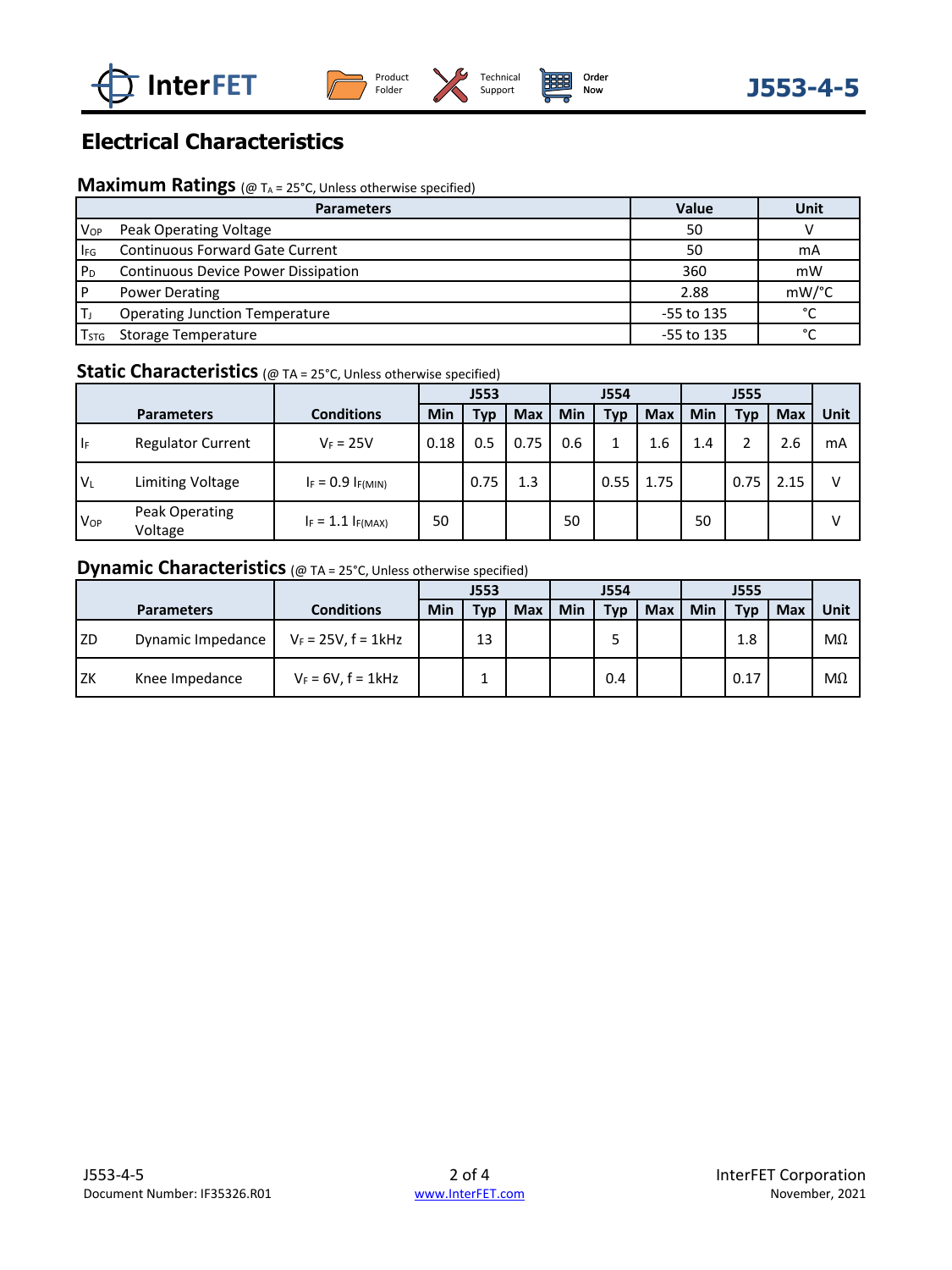





## **Electrical Characteristics**

### **Maximum Ratings** (@ T<sub>A</sub> = 25°C, Unless otherwise specified)

|                  | <b>Parameters</b>                      | Value      | <b>Unit</b>   |  |
|------------------|----------------------------------------|------------|---------------|--|
| <b>Vop</b>       | Peak Operating Voltage                 | 50         |               |  |
| $ I_{FG} $       | <b>Continuous Forward Gate Current</b> | 50         | mA            |  |
| ' P <sub>D</sub> | Continuous Device Power Dissipation    | 360        | mW            |  |
| l P              | <b>Power Derating</b>                  | 2.88       | mW/°C         |  |
|                  | <b>Operating Junction Temperature</b>  | -55 to 135 | $\mathcal{C}$ |  |
| $T_{STG}$        | Storage Temperature                    | -55 to 135 | $\sim$        |  |

## **Static Characteristics** (@ TA = 25°C, Unless otherwise specified)

|                 |                           |                        | J553 |      |      | <b>J554</b> |      |      | <b>J555</b> |      |            |      |
|-----------------|---------------------------|------------------------|------|------|------|-------------|------|------|-------------|------|------------|------|
|                 | <b>Parameters</b>         | <b>Conditions</b>      | Min  | Typ  | Max  | Min         | Typ  | Max  | Min         | Typ  | <b>Max</b> | Unit |
| ١ŀ              | <b>Regulator Current</b>  | $V_F = 25V$            | 0.18 | 0.5  | 0.75 | 0.6         |      | 1.6  | 1.4         |      | 2.6        | mA   |
| 'VL             | Limiting Voltage          | $I_F = 0.9 I_{F(MIN)}$ |      | 0.75 | 1.3  |             | 0.55 | 1.75 |             | 0.75 | 2.15       | v    |
| V <sub>OP</sub> | Peak Operating<br>Voltage | $I_F = 1.1 I_{F(MAX)}$ | 50   |      |      | 50          |      |      | 50          |      |            | v    |

## **Dynamic Characteristics** (@ TA = 25°C, Unless otherwise specified)

|      |                   |                          | <b>J553</b> |     |            | <b>J554</b> |     |            | J555 |      |            |           |
|------|-------------------|--------------------------|-------------|-----|------------|-------------|-----|------------|------|------|------------|-----------|
|      | <b>Parameters</b> | Conditions               | Min         | Tvp | <b>Max</b> | Min         | Typ | <b>Max</b> | Min  | Typ  | <b>Max</b> | Unit      |
| l ZD | Dynamic Impedance | $V_F = 25V$ , $f = 1kHz$ |             | 13  |            |             |     |            |      | 1.8  |            | $M\Omega$ |
| l zk | Knee Impedance    | $V_F = 6V$ , $f = 1kHz$  |             |     |            |             | 0.4 |            |      | 0.17 |            | $M\Omega$ |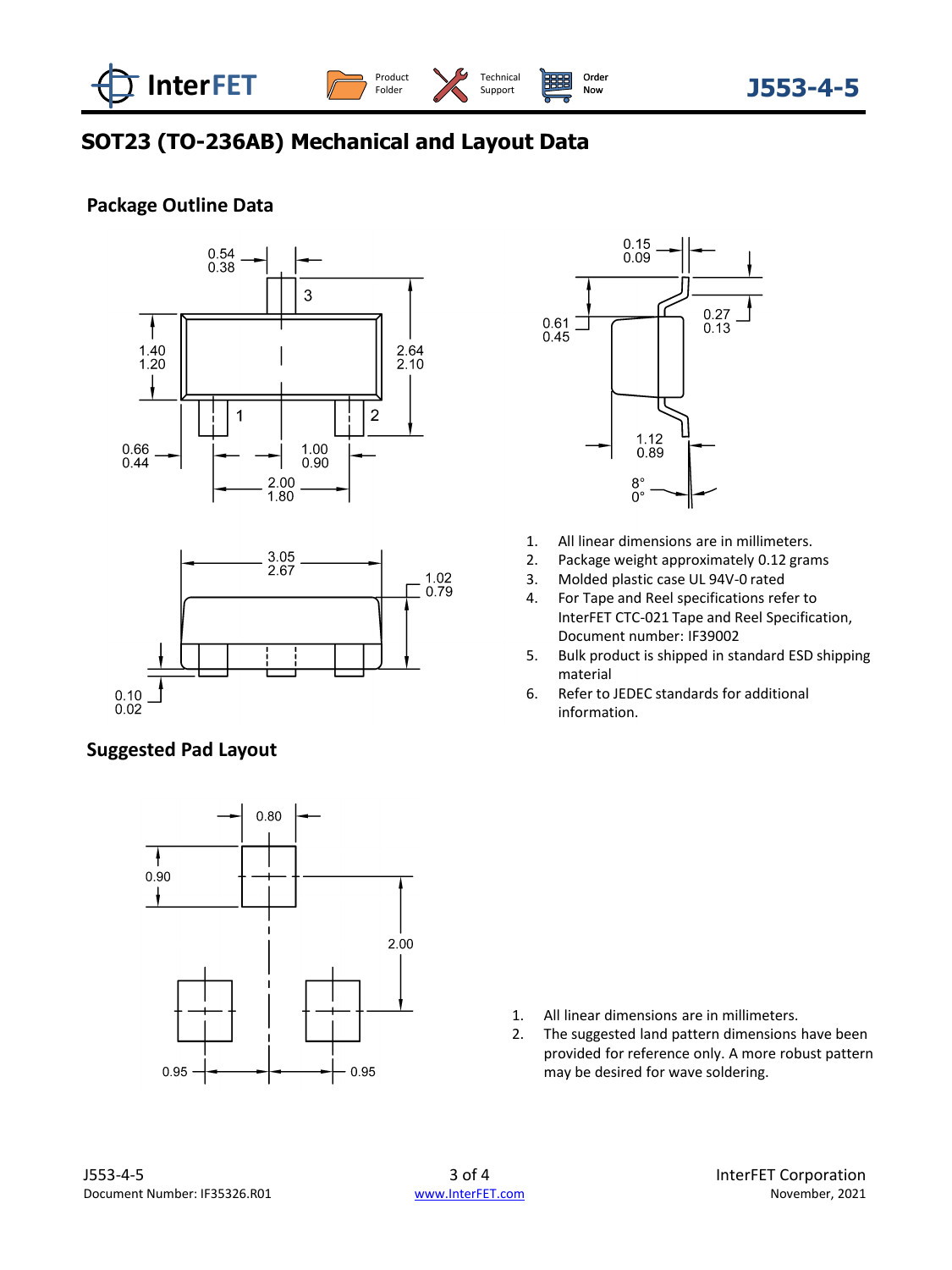

[Technical](https://www.interfet.com/support-overview) Support

[Order](https://www.interfet.com/ordering-overview)<br>Now

## **SOT23 (TO-236AB) Mechanical and Layout Data**

### **Package Outline Data**





### **Suggested Pad Layout**





- 1. All linear dimensions are in millimeters.
- 2. Package weight approximately 0.12 grams
- 3. Molded plastic case UL 94V-0 rated
- 4. For Tape and Reel specifications refer to InterFET CTC-021 Tape and Reel Specification, Document number: IF39002
- 5. Bulk product is shipped in standard ESD shipping material
- 6. Refer to JEDEC standards for additional information.

- 1. All linear dimensions are in millimeters.
- 2. The suggested land pattern dimensions have been provided for reference only. A more robust pattern may be desired for wave soldering.